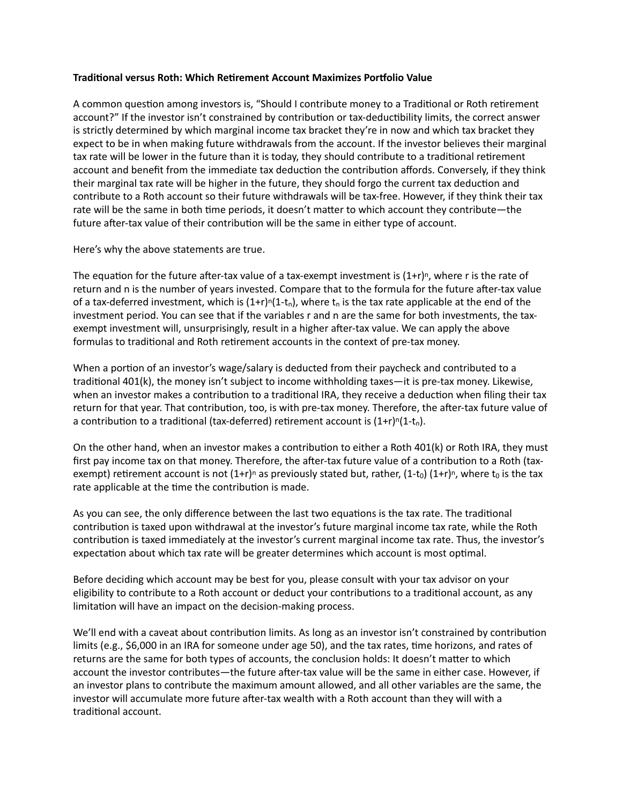## **Traditional versus Roth: Which Retirement Account Maximizes Portfolio Value**

A common question among investors is, "Should I contribute money to a Traditional or Roth retirement account?" If the investor isn't constrained by contribution or tax-deductibility limits, the correct answer is strictly determined by which marginal income tax bracket they're in now and which tax bracket they expect to be in when making future withdrawals from the account. If the investor believes their marginal tax rate will be lower in the future than it is today, they should contribute to a traditional retirement account and benefit from the immediate tax deduction the contribution affords. Conversely, if they think their marginal tax rate will be higher in the future, they should forgo the current tax deduction and contribute to a Roth account so their future withdrawals will be tax-free. However, if they think their tax rate will be the same in both time periods, it doesn't matter to which account they contribute—the future after-tax value of their contribution will be the same in either type of account.

Here's why the above statements are true.

The equation for the future after-tax value of a tax-exempt investment is  $(1+r)^n$ , where r is the rate of return and n is the number of years invested. Compare that to the formula for the future after-tax value of a tax-deferred investment, which is  $(1+r)^{n}(1-t_{n})$ , where  $t_{n}$  is the tax rate applicable at the end of the investment period. You can see that if the variables r and n are the same for both investments, the taxexempt investment will, unsurprisingly, result in a higher after-tax value. We can apply the above formulas to traditional and Roth retirement accounts in the context of pre-tax money.

When a portion of an investor's wage/salary is deducted from their paycheck and contributed to a traditional 401(k), the money isn't subject to income withholding taxes—it is pre-tax money. Likewise, when an investor makes a contribution to a traditional IRA, they receive a deduction when filing their tax return for that year. That contribution, too, is with pre-tax money. Therefore, the after-tax future value of a contribution to a traditional (tax-deferred) retirement account is  $(1+r)^{n}(1-t_{n})$ .

On the other hand, when an investor makes a contribution to either a Roth 401(k) or Roth IRA, they must first pay income tax on that money. Therefore, the after-tax future value of a contribution to a Roth (taxexempt) retirement account is not  $(1+r)^n$  as previously stated but, rather,  $(1-t_0)(1+r)^n$ , where  $t_0$  is the tax rate applicable at the time the contribution is made.

As you can see, the only difference between the last two equations is the tax rate. The traditional contribution is taxed upon withdrawal at the investor's future marginal income tax rate, while the Roth contribution is taxed immediately at the investor's current marginal income tax rate. Thus, the investor's expectation about which tax rate will be greater determines which account is most optimal.

Before deciding which account may be best for you, please consult with your tax advisor on your eligibility to contribute to a Roth account or deduct your contributions to a traditional account, as any limitation will have an impact on the decision-making process.

We'll end with a caveat about contribution limits. As long as an investor isn't constrained by contribution limits (e.g., \$6,000 in an IRA for someone under age 50), and the tax rates, time horizons, and rates of returns are the same for both types of accounts, the conclusion holds: It doesn't matter to which account the investor contributes—the future after-tax value will be the same in either case. However, if an investor plans to contribute the maximum amount allowed, and all other variables are the same, the investor will accumulate more future after-tax wealth with a Roth account than they will with a traditional account.